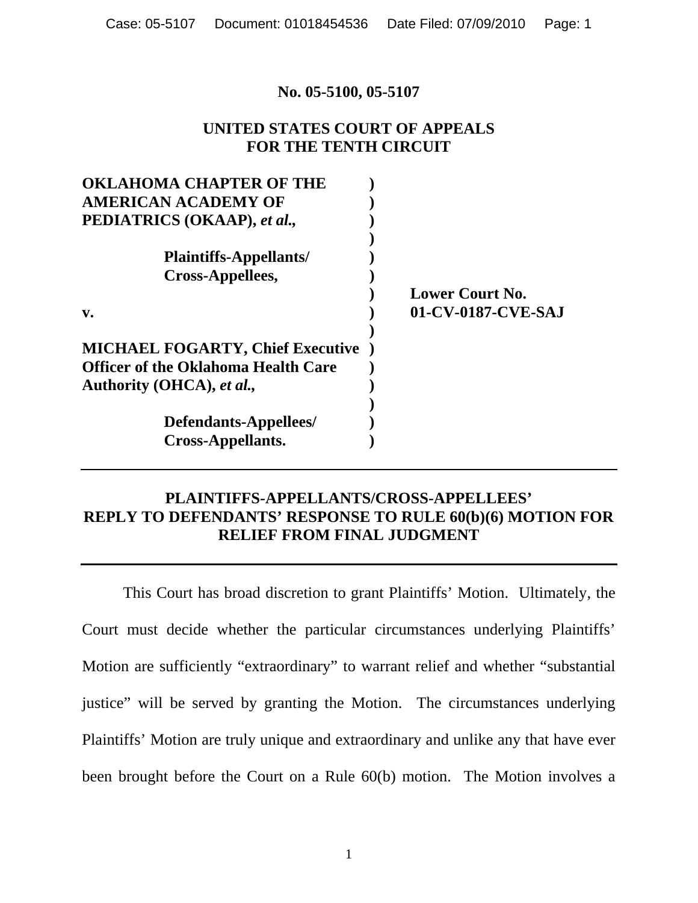#### **No. 05-5100, 05-5107**

### **UNITED STATES COURT OF APPEALS FOR THE TENTH CIRCUIT**

| <b>OKLAHOMA CHAPTER OF THE</b>             |                        |
|--------------------------------------------|------------------------|
| <b>AMERICAN ACADEMY OF</b>                 |                        |
| PEDIATRICS (OKAAP), et al.,                |                        |
|                                            |                        |
| <b>Plaintiffs-Appellants/</b>              |                        |
| Cross-Appellees,                           |                        |
|                                            | <b>Lower Court No.</b> |
| $V_{\bullet}$                              | 01-CV-0187-CVE-SAJ     |
|                                            |                        |
| <b>MICHAEL FOGARTY, Chief Executive</b>    |                        |
| <b>Officer of the Oklahoma Health Care</b> |                        |
| Authority (OHCA), et al.,                  |                        |
|                                            |                        |
| Defendants-Appellees/                      |                        |
| <b>Cross-Appellants.</b>                   |                        |

## **PLAINTIFFS-APPELLANTS/CROSS-APPELLEES' REPLY TO DEFENDANTS' RESPONSE TO RULE 60(b)(6) MOTION FOR RELIEF FROM FINAL JUDGMENT**

 This Court has broad discretion to grant Plaintiffs' Motion. Ultimately, the Court must decide whether the particular circumstances underlying Plaintiffs' Motion are sufficiently "extraordinary" to warrant relief and whether "substantial justice" will be served by granting the Motion. The circumstances underlying Plaintiffs' Motion are truly unique and extraordinary and unlike any that have ever been brought before the Court on a Rule 60(b) motion. The Motion involves a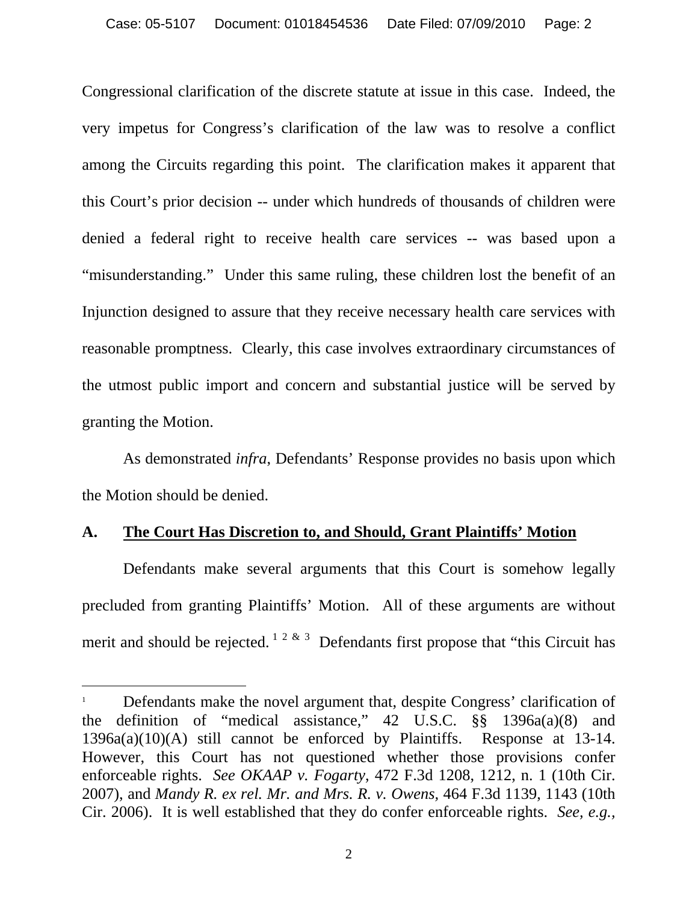Congressional clarification of the discrete statute at issue in this case. Indeed, the very impetus for Congress's clarification of the law was to resolve a conflict among the Circuits regarding this point. The clarification makes it apparent that this Court's prior decision -- under which hundreds of thousands of children were denied a federal right to receive health care services -- was based upon a "misunderstanding." Under this same ruling, these children lost the benefit of an Injunction designed to assure that they receive necessary health care services with reasonable promptness. Clearly, this case involves extraordinary circumstances of the utmost public import and concern and substantial justice will be served by granting the Motion.

 As demonstrated *infra*, Defendants' Response provides no basis upon which the Motion should be denied.

#### **A. The Court Has Discretion to, and Should, Grant Plaintiffs' Motion**

 $\overline{a}$ 

Defendants make several arguments that this Court is somehow legally precluded from granting Plaintiffs' Motion. All of these arguments are without merit and should be rejected.  $1^{2 \& 3}$  Defendants first propose that "this Circuit has

<sup>1</sup> Defendants make the novel argument that, despite Congress' clarification of the definition of "medical assistance," 42 U.S.C. §§ 1396a(a)(8) and 1396a(a)(10)(A) still cannot be enforced by Plaintiffs. Response at 13-14. However, this Court has not questioned whether those provisions confer enforceable rights. *See OKAAP v. Fogarty*, 472 F.3d 1208, 1212, n. 1 (10th Cir. 2007), and *Mandy R. ex rel. Mr. and Mrs. R. v. Owens,* 464 F.3d 1139, 1143 (10th Cir. 2006). It is well established that they do confer enforceable rights. *See, e.g.,*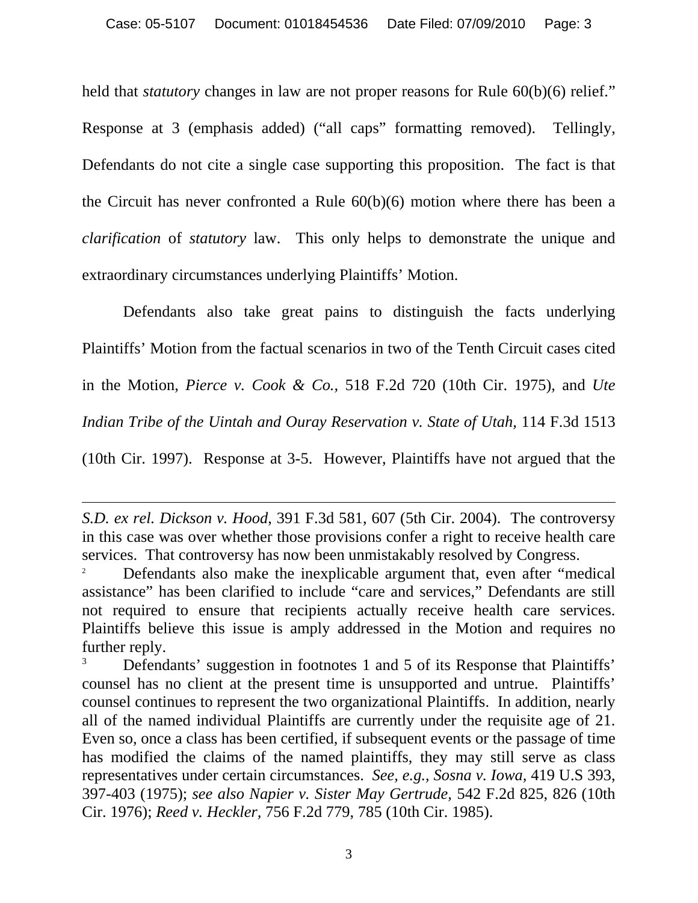held that *statutory* changes in law are not proper reasons for Rule 60(b)(6) relief." Response at 3 (emphasis added) ("all caps" formatting removed). Tellingly, Defendants do not cite a single case supporting this proposition. The fact is that the Circuit has never confronted a Rule 60(b)(6) motion where there has been a *clarification* of *statutory* law. This only helps to demonstrate the unique and extraordinary circumstances underlying Plaintiffs' Motion.

Defendants also take great pains to distinguish the facts underlying Plaintiffs' Motion from the factual scenarios in two of the Tenth Circuit cases cited in the Motion, *Pierce v. Cook & Co.,* 518 F.2d 720 (10th Cir. 1975), and *Ute Indian Tribe of the Uintah and Ouray Reservation v. State of Utah,* 114 F.3d 1513 (10th Cir. 1997). Response at 3-5. However, Plaintiffs have not argued that the

 $\overline{a}$ 

*S.D. ex rel. Dickson v. Hood*, 391 F.3d 581, 607 (5th Cir. 2004). The controversy in this case was over whether those provisions confer a right to receive health care services. That controversy has now been unmistakably resolved by Congress.<br><sup>2</sup> Defendants also make the inexplicable argument that, even after "medical"

assistance" has been clarified to include "care and services," Defendants are still not required to ensure that recipients actually receive health care services. Plaintiffs believe this issue is amply addressed in the Motion and requires no further reply.

Defendants' suggestion in footnotes 1 and 5 of its Response that Plaintiffs' counsel has no client at the present time is unsupported and untrue. Plaintiffs' counsel continues to represent the two organizational Plaintiffs. In addition, nearly all of the named individual Plaintiffs are currently under the requisite age of 21. Even so, once a class has been certified, if subsequent events or the passage of time has modified the claims of the named plaintiffs, they may still serve as class representatives under certain circumstances. *See, e.g., Sosna v. Iowa,* 419 U.S 393, 397-403 (1975); *see also Napier v. Sister May Gertrude,* 542 F.2d 825, 826 (10th Cir. 1976); *Reed v. Heckler,* 756 F.2d 779, 785 (10th Cir. 1985).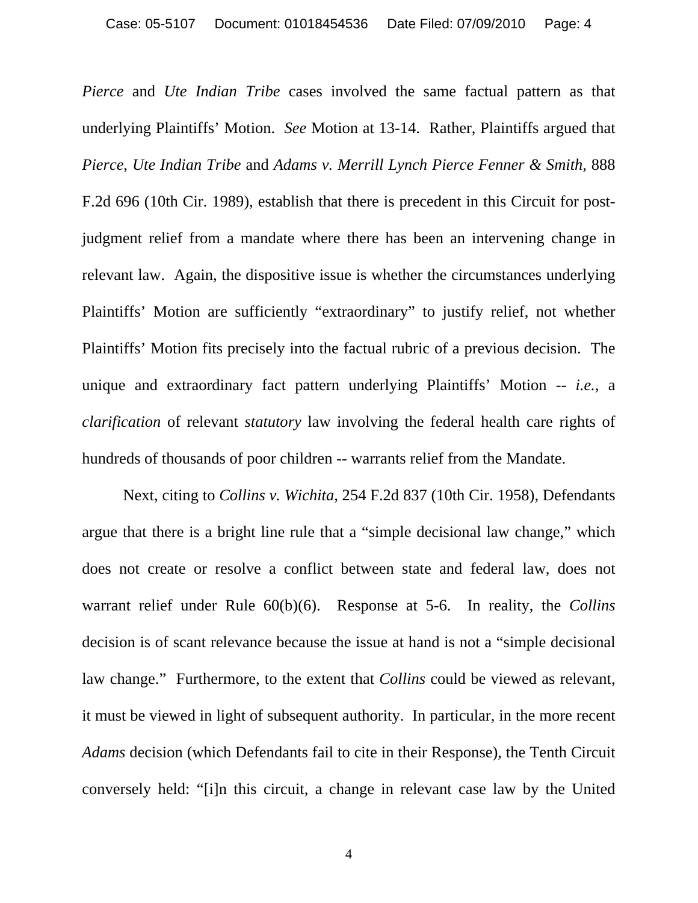*Pierce* and *Ute Indian Tribe* cases involved the same factual pattern as that underlying Plaintiffs' Motion. *See* Motion at 13-14. Rather, Plaintiffs argued that *Pierce*, *Ute Indian Tribe* and *Adams v. Merrill Lynch Pierce Fenner & Smith,* 888 F.2d 696 (10th Cir. 1989), establish that there is precedent in this Circuit for postjudgment relief from a mandate where there has been an intervening change in relevant law. Again, the dispositive issue is whether the circumstances underlying Plaintiffs' Motion are sufficiently "extraordinary" to justify relief, not whether Plaintiffs' Motion fits precisely into the factual rubric of a previous decision. The unique and extraordinary fact pattern underlying Plaintiffs' Motion -- *i.e.,* a *clarification* of relevant *statutory* law involving the federal health care rights of hundreds of thousands of poor children -- warrants relief from the Mandate.

 Next, citing to *Collins v. Wichita,* 254 F.2d 837 (10th Cir. 1958), Defendants argue that there is a bright line rule that a "simple decisional law change," which does not create or resolve a conflict between state and federal law, does not warrant relief under Rule 60(b)(6). Response at 5-6. In reality, the *Collins*  decision is of scant relevance because the issue at hand is not a "simple decisional law change." Furthermore, to the extent that *Collins* could be viewed as relevant, it must be viewed in light of subsequent authority. In particular, in the more recent *Adams* decision (which Defendants fail to cite in their Response), the Tenth Circuit conversely held: "[i]n this circuit, a change in relevant case law by the United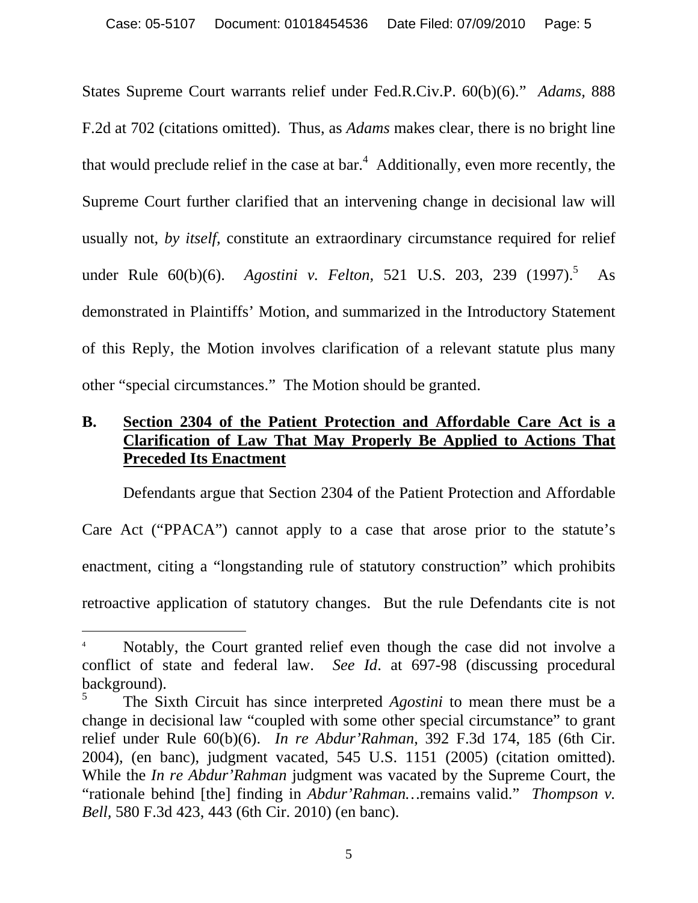States Supreme Court warrants relief under Fed.R.Civ.P. 60(b)(6)." *Adams,* 888 F.2d at 702 (citations omitted). Thus, as *Adams* makes clear, there is no bright line that would preclude relief in the case at bar.<sup>4</sup> Additionally, even more recently, the Supreme Court further clarified that an intervening change in decisional law will usually not, *by itself*, constitute an extraordinary circumstance required for relief under Rule 60(b)(6). *Agostini v. Felton*, 521 U.S. 203, 239 (1997).<sup>5</sup> As demonstrated in Plaintiffs' Motion, and summarized in the Introductory Statement of this Reply, the Motion involves clarification of a relevant statute plus many other "special circumstances." The Motion should be granted.

# **B. Section 2304 of the Patient Protection and Affordable Care Act is a Clarification of Law That May Properly Be Applied to Actions That Preceded Its Enactment**

Defendants argue that Section 2304 of the Patient Protection and Affordable Care Act ("PPACA") cannot apply to a case that arose prior to the statute's enactment, citing a "longstanding rule of statutory construction" which prohibits retroactive application of statutory changes. But the rule Defendants cite is not

 $\overline{a}$ 

Notably, the Court granted relief even though the case did not involve a conflict of state and federal law. *See Id*. at 697-98 (discussing procedural background).

<sup>5</sup> The Sixth Circuit has since interpreted *Agostini* to mean there must be a change in decisional law "coupled with some other special circumstance" to grant relief under Rule 60(b)(6). *In re Abdur'Rahman*, 392 F.3d 174, 185 (6th Cir. 2004), (en banc), judgment vacated, 545 U.S. 1151 (2005) (citation omitted). While the *In re Abdur'Rahman* judgment was vacated by the Supreme Court, the "rationale behind [the] finding in *Abdur'Rahman…*remains valid." *Thompson v. Bell,* 580 F.3d 423, 443 (6th Cir. 2010) (en banc).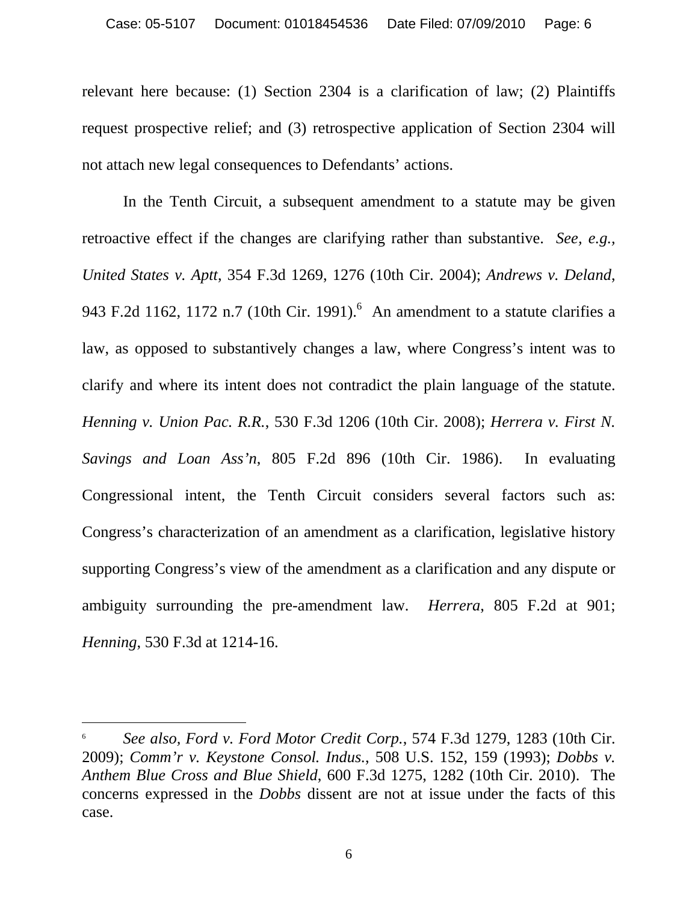relevant here because: (1) Section 2304 is a clarification of law; (2) Plaintiffs request prospective relief; and (3) retrospective application of Section 2304 will not attach new legal consequences to Defendants' actions.

In the Tenth Circuit, a subsequent amendment to a statute may be given retroactive effect if the changes are clarifying rather than substantive. *See, e.g., United States v. Aptt*, 354 F.3d 1269, 1276 (10th Cir. 2004); *Andrews v. Deland*, 943 F.2d 1162, 1172 n.7 (10th Cir. 1991). An amendment to a statute clarifies a law, as opposed to substantively changes a law, where Congress's intent was to clarify and where its intent does not contradict the plain language of the statute. *Henning v. Union Pac. R.R.*, 530 F.3d 1206 (10th Cir. 2008); *Herrera v. First N. Savings and Loan Ass'n*, 805 F.2d 896 (10th Cir. 1986). In evaluating Congressional intent, the Tenth Circuit considers several factors such as: Congress's characterization of an amendment as a clarification, legislative history supporting Congress's view of the amendment as a clarification and any dispute or ambiguity surrounding the pre-amendment law. *Herrera*, 805 F.2d at 901; *Henning*, 530 F.3d at 1214-16.

 $\overline{a}$ 

6

<sup>6</sup> *See also, Ford v. Ford Motor Credit Corp.*, 574 F.3d 1279, 1283 (10th Cir. 2009); *Comm'r v. Keystone Consol. Indus.*, 508 U.S. 152, 159 (1993); *Dobbs v. Anthem Blue Cross and Blue Shield*, 600 F.3d 1275, 1282 (10th Cir. 2010). The concerns expressed in the *Dobbs* dissent are not at issue under the facts of this case.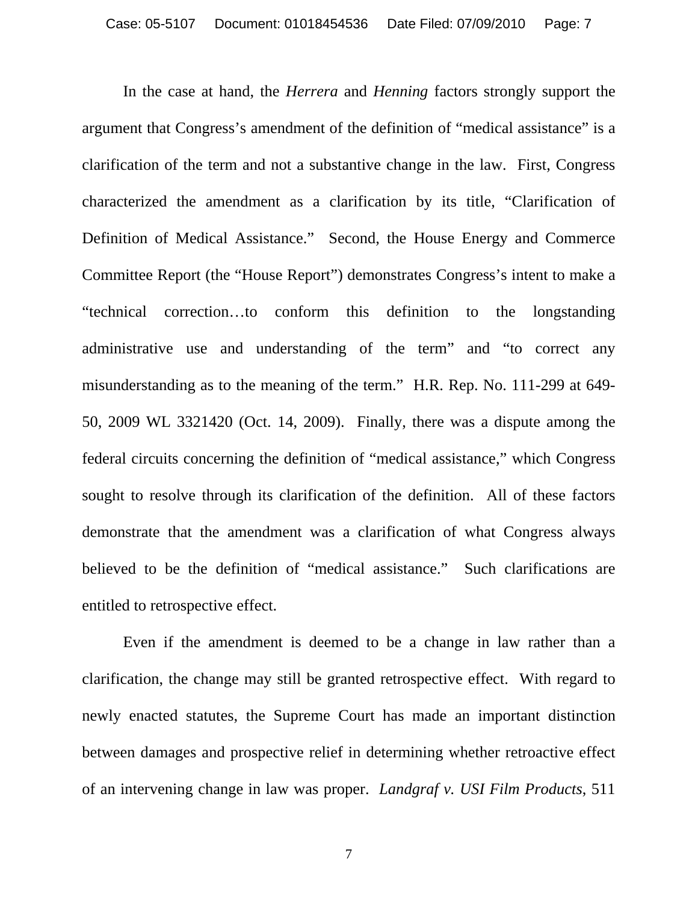In the case at hand, the *Herrera* and *Henning* factors strongly support the argument that Congress's amendment of the definition of "medical assistance" is a clarification of the term and not a substantive change in the law. First, Congress characterized the amendment as a clarification by its title, "Clarification of Definition of Medical Assistance." Second, the House Energy and Commerce Committee Report (the "House Report") demonstrates Congress's intent to make a "technical correction…to conform this definition to the longstanding administrative use and understanding of the term" and "to correct any misunderstanding as to the meaning of the term." H.R. Rep. No. 111-299 at 649- 50, 2009 WL 3321420 (Oct. 14, 2009). Finally, there was a dispute among the federal circuits concerning the definition of "medical assistance," which Congress sought to resolve through its clarification of the definition. All of these factors demonstrate that the amendment was a clarification of what Congress always believed to be the definition of "medical assistance." Such clarifications are entitled to retrospective effect.

Even if the amendment is deemed to be a change in law rather than a clarification, the change may still be granted retrospective effect. With regard to newly enacted statutes, the Supreme Court has made an important distinction between damages and prospective relief in determining whether retroactive effect of an intervening change in law was proper. *Landgraf v. USI Film Products*, 511

7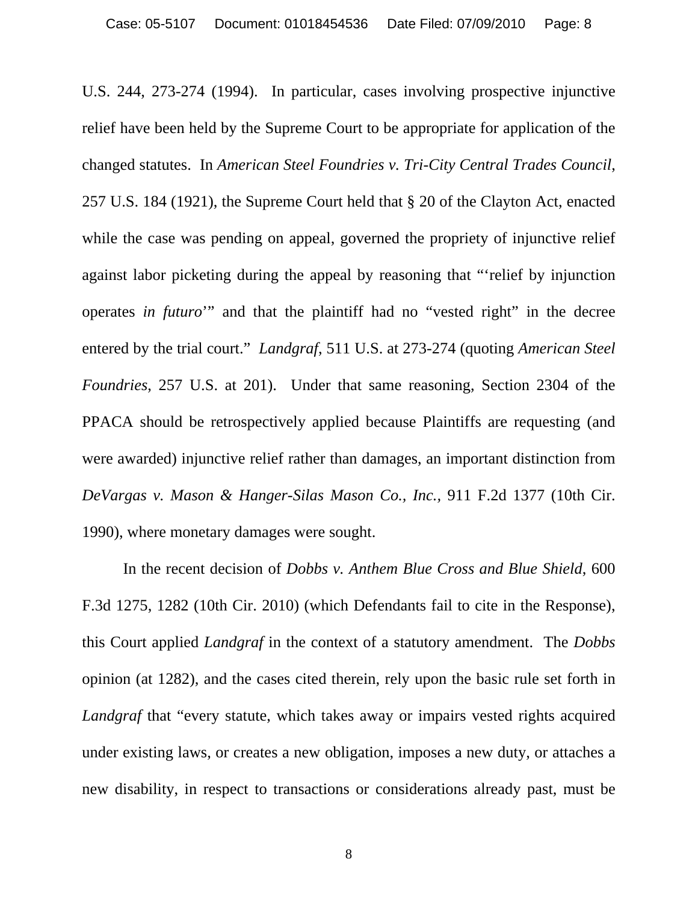U.S. 244, 273-274 (1994). In particular, cases involving prospective injunctive relief have been held by the Supreme Court to be appropriate for application of the changed statutes. In *American Steel Foundries v. Tri-City Central Trades Council*, 257 U.S. 184 (1921), the Supreme Court held that § 20 of the Clayton Act, enacted while the case was pending on appeal, governed the propriety of injunctive relief against labor picketing during the appeal by reasoning that "'relief by injunction operates *in futuro*'" and that the plaintiff had no "vested right" in the decree entered by the trial court." *Landgraf*, 511 U.S. at 273-274 (quoting *American Steel Foundries*, 257 U.S. at 201). Under that same reasoning, Section 2304 of the PPACA should be retrospectively applied because Plaintiffs are requesting (and were awarded) injunctive relief rather than damages, an important distinction from *DeVargas v. Mason & Hanger-Silas Mason Co., Inc.,* 911 F.2d 1377 (10th Cir. 1990), where monetary damages were sought.

In the recent decision of *Dobbs v. Anthem Blue Cross and Blue Shield*, 600 F.3d 1275, 1282 (10th Cir. 2010) (which Defendants fail to cite in the Response), this Court applied *Landgraf* in the context of a statutory amendment. The *Dobbs* opinion (at 1282), and the cases cited therein, rely upon the basic rule set forth in *Landgraf* that "every statute, which takes away or impairs vested rights acquired under existing laws, or creates a new obligation, imposes a new duty, or attaches a new disability, in respect to transactions or considerations already past, must be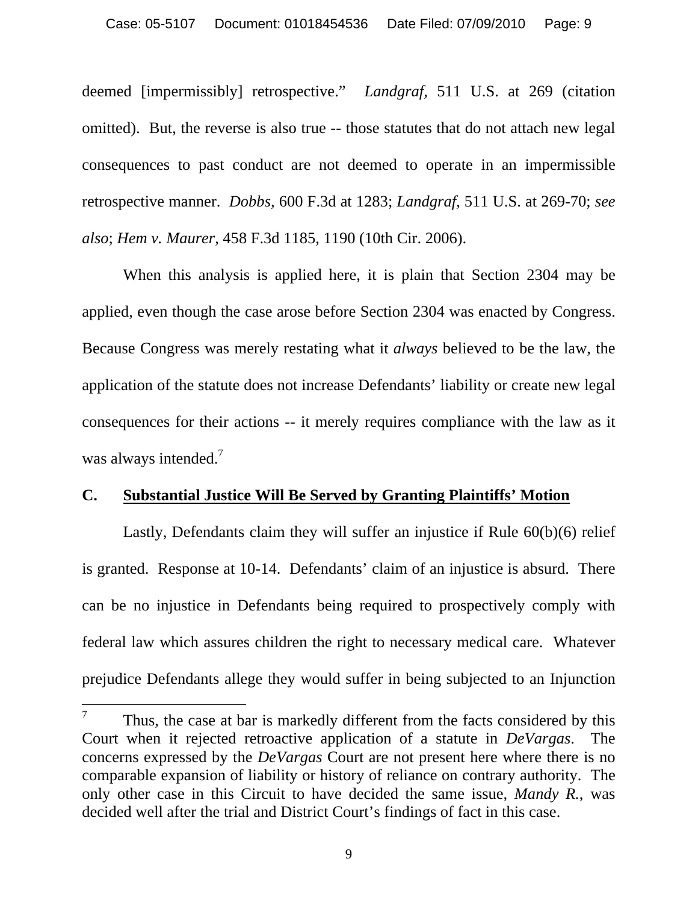deemed [impermissibly] retrospective." *Landgraf,* 511 U.S. at 269 (citation omitted). But, the reverse is also true -- those statutes that do not attach new legal consequences to past conduct are not deemed to operate in an impermissible retrospective manner. *Dobbs,* 600 F.3d at 1283; *Landgraf,* 511 U.S. at 269-70; *see also*; *Hem v. Maurer*, 458 F.3d 1185, 1190 (10th Cir. 2006).

When this analysis is applied here, it is plain that Section 2304 may be applied, even though the case arose before Section 2304 was enacted by Congress. Because Congress was merely restating what it *always* believed to be the law, the application of the statute does not increase Defendants' liability or create new legal consequences for their actions -- it merely requires compliance with the law as it was always intended.<sup>7</sup>

#### **C. Substantial Justice Will Be Served by Granting Plaintiffs' Motion**

Lastly, Defendants claim they will suffer an injustice if Rule 60(b)(6) relief is granted. Response at 10-14. Defendants' claim of an injustice is absurd. There can be no injustice in Defendants being required to prospectively comply with federal law which assures children the right to necessary medical care. Whatever prejudice Defendants allege they would suffer in being subjected to an Injunction

 $\overline{a}$ 

<sup>7</sup> Thus, the case at bar is markedly different from the facts considered by this Court when it rejected retroactive application of a statute in *DeVargas*. The concerns expressed by the *DeVargas* Court are not present here where there is no comparable expansion of liability or history of reliance on contrary authority. The only other case in this Circuit to have decided the same issue, *Mandy R.*, was decided well after the trial and District Court's findings of fact in this case.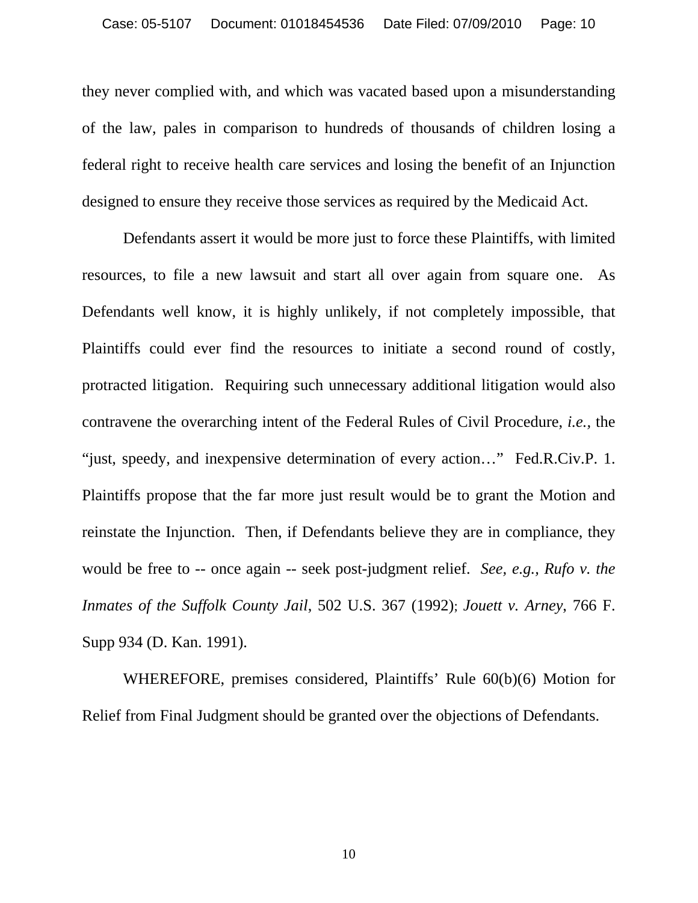they never complied with, and which was vacated based upon a misunderstanding of the law, pales in comparison to hundreds of thousands of children losing a federal right to receive health care services and losing the benefit of an Injunction designed to ensure they receive those services as required by the Medicaid Act.

 Defendants assert it would be more just to force these Plaintiffs, with limited resources, to file a new lawsuit and start all over again from square one. As Defendants well know, it is highly unlikely, if not completely impossible, that Plaintiffs could ever find the resources to initiate a second round of costly, protracted litigation. Requiring such unnecessary additional litigation would also contravene the overarching intent of the Federal Rules of Civil Procedure, *i.e.,* the "just, speedy, and inexpensive determination of every action…" Fed.R.Civ.P. 1. Plaintiffs propose that the far more just result would be to grant the Motion and reinstate the Injunction. Then, if Defendants believe they are in compliance, they would be free to -- once again -- seek post-judgment relief. *See, e.g., Rufo v. the Inmates of the Suffolk County Jail*, 502 U.S. 367 (1992); *Jouett v. Arney*, 766 F. Supp 934 (D. Kan. 1991).

WHEREFORE, premises considered, Plaintiffs' Rule 60(b)(6) Motion for Relief from Final Judgment should be granted over the objections of Defendants.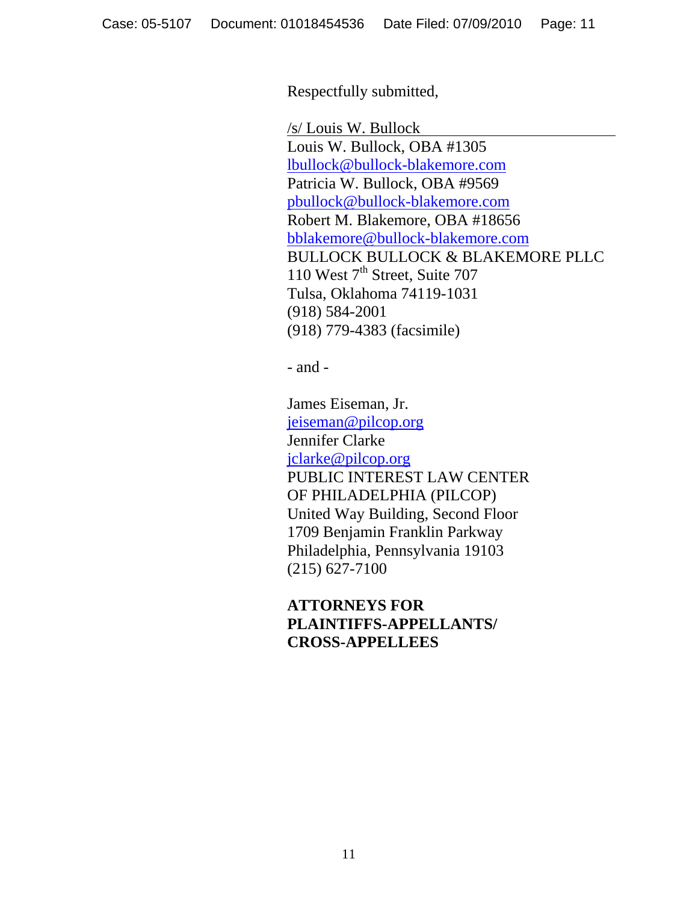Respectfully submitted,

 /s/ Louis W. Bullock Louis W. Bullock, OBA #1305 lbullock@bullock-blakemore.com Patricia W. Bullock, OBA #9569 pbullock@bullock-blakemore.com Robert M. Blakemore, OBA #18656 bblakemore@bullock-blakemore.com BULLOCK BULLOCK & BLAKEMORE PLLC 110 West 7<sup>th</sup> Street, Suite 707 Tulsa, Oklahoma 74119-1031 (918) 584-2001 (918) 779-4383 (facsimile)

- and -

 James Eiseman, Jr. jeiseman@pilcop.org Jennifer Clarke jclarke@pilcop.org PUBLIC INTEREST LAW CENTER OF PHILADELPHIA (PILCOP) United Way Building, Second Floor 1709 Benjamin Franklin Parkway Philadelphia, Pennsylvania 19103 (215) 627-7100

 **ATTORNEYS FOR PLAINTIFFS-APPELLANTS/ CROSS-APPELLEES**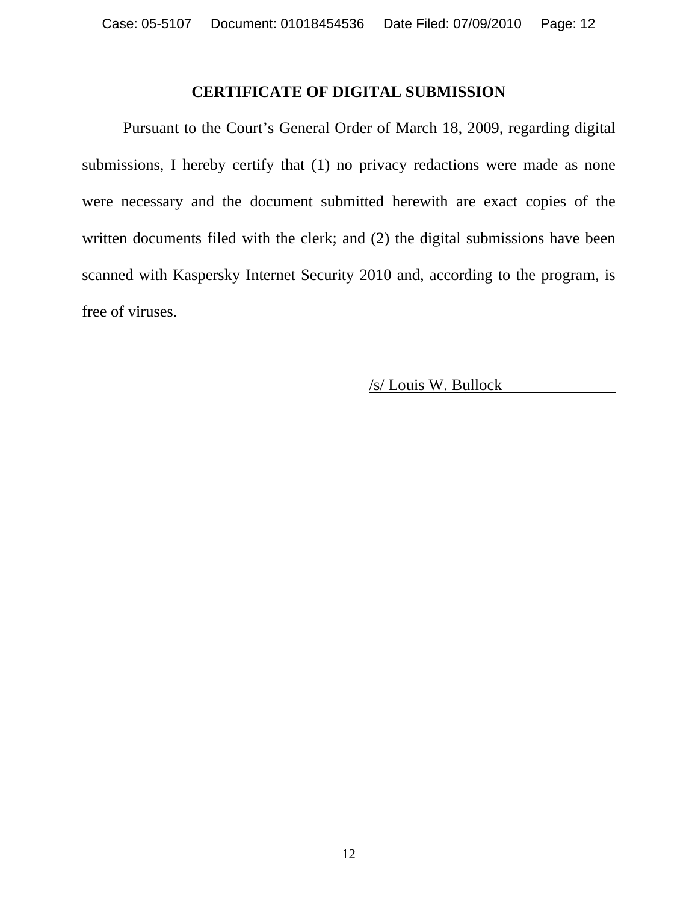### **CERTIFICATE OF DIGITAL SUBMISSION**

 Pursuant to the Court's General Order of March 18, 2009, regarding digital submissions, I hereby certify that (1) no privacy redactions were made as none were necessary and the document submitted herewith are exact copies of the written documents filed with the clerk; and (2) the digital submissions have been scanned with Kaspersky Internet Security 2010 and, according to the program, is free of viruses.

/s/ Louis W. Bullock